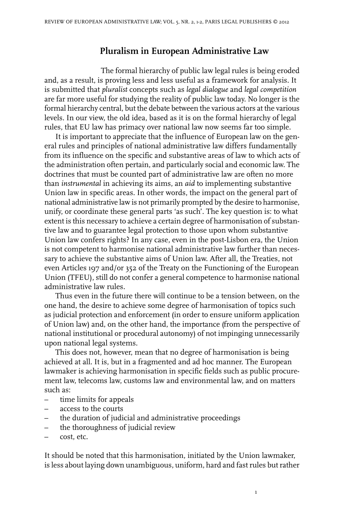## **Pluralism in European Administrative Law**

The formal hierarchy of public law legal rules is being eroded and, as a result, is proving less and less useful as a framework for analysis. It is submitted that *pluralist* concepts such as *legal dialogue* and *legal competition* are far more useful for studying the reality of public law today. No longer is the formal hierarchy central, but the debate between the various actors at the various levels. In our view, the old idea, based as it is on the formal hierarchy of legal rules, that EU law has primacy over national law now seems far too simple.

It is important to appreciate that the influence of European law on the general rules and principles of national administrative law differs fundamentally from its influence on the specific and substantive areas of law to which acts of the administration often pertain, and particularly social and economic law. The doctrines that must be counted part of administrative law are often no more than *instrumental* in achieving its aims, an *aid* to implementing substantive Union law in specific areas. In other words, the impact on the general part of national administrative law is not primarily prompted by the desire to harmonise, unify, or coordinate these general parts 'as such'. The key question is: to what extent is this necessary to achieve a certain degree of harmonisation of substantive law and to guarantee legal protection to those upon whom substantive Union law confers rights? In any case, even in the post-Lisbon era, the Union is not competent to harmonise national administrative law further than necessary to achieve the substantive aims of Union law. After all, the Treaties, not even Articles 197 and/or 352 of the Treaty on the Functioning of the European Union (TFEU), still do not confer a general competence to harmonise national administrative law rules.

Thus even in the future there will continue to be a tension between, on the one hand, the desire to achieve some degree of harmonisation of topics such as judicial protection and enforcement (in order to ensure uniform application of Union law) and, on the other hand, the importance (from the perspective of national institutional or procedural autonomy) of not impinging unnecessarily upon national legal systems.

This does not, however, mean that no degree of harmonisation is being achieved at all. It is, but in a fragmented and ad hoc manner. The European lawmaker is achieving harmonisation in specific fields such as public procurement law, telecoms law, customs law and environmental law, and on matters such as:

- time limits for appeals
- access to the courts
- the duration of judicial and administrative proceedings
- the thoroughness of judicial review
- cost, etc.

It should be noted that this harmonisation, initiated by the Union lawmaker, is less about laying down unambiguous, uniform, hard and fastrules butrather

1